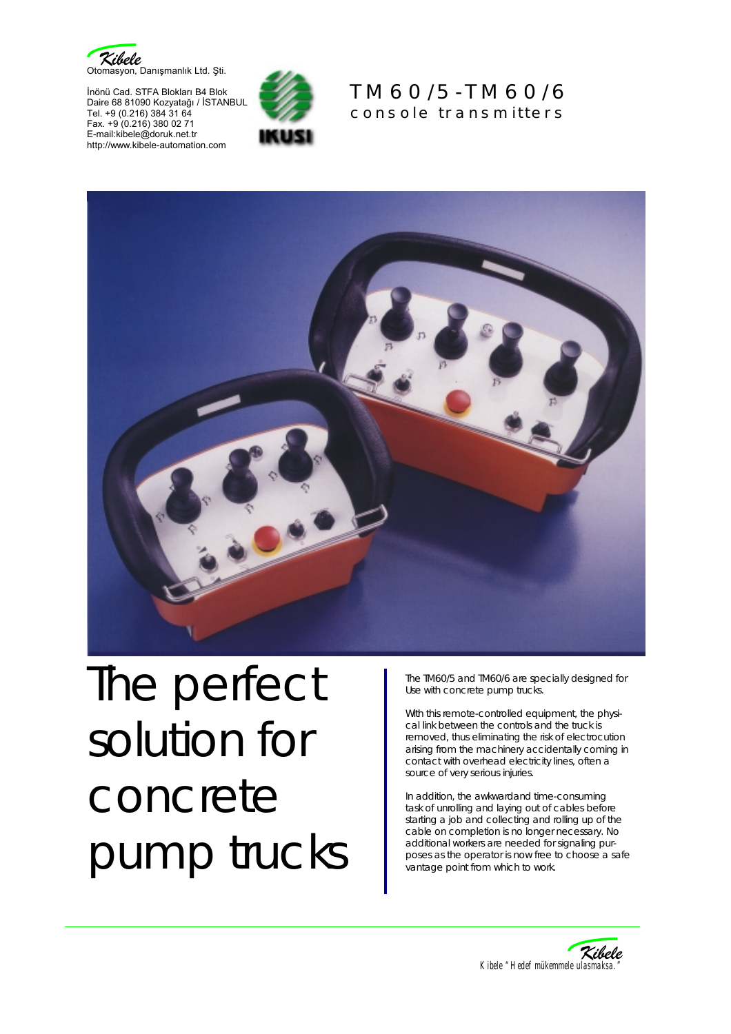

İnönü Cad. STFA Blokları B4 Blok Daire 68 81090 Kozyatağı / İSTANBUL Tel. +9 (0.216) 384 31 64 Fax. +9 (0.216) 380 02 71 E-mail:kibele@doruk.net.tr http://www.kibele-automation.com







## The perfect solution for concrete pump trucks

The TM60/5 and TM60/6 are specially designed for Use with concrete pump trucks.

With this remote-controlled equipment, the physical link between the controls and the truck is removed, thus eliminating the risk of electrocution arising from the machinery accidentally coming in contact with overhead electricity lines, often a source of very serious injuries.

In addition, the awkwardand time-consuming task of unrolling and laying out of cables before starting a job and collecting and rolling up of the cable on completion is no longer necessary. No additional workers are needed for signaling purposes as the operator is now free to choose a safe vantage point from which to work.

![](_page_0_Figure_9.jpeg)